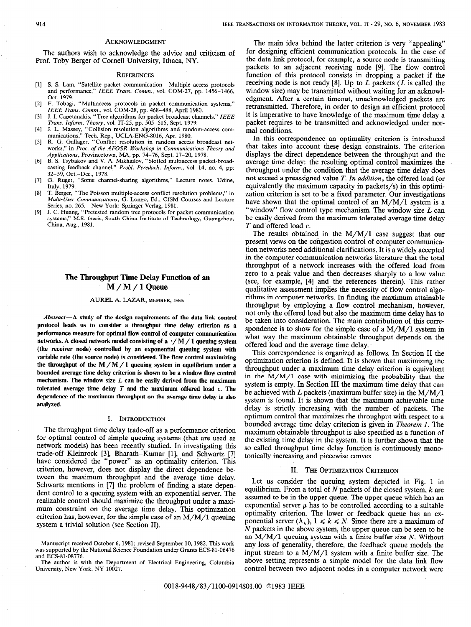### ACKNOWLEDGMENT

The authors wish to acknowledge the advice and criticism of Prof. Toby Berger of Cornell University, Ithaca, NY.

### **REFERENCES**

- [1] S. S. Lam, "Satellite packet communication--Multiple access protocols and performance," IEEE Trans. Comm., vol. COM-27, pp. 1456-1466, Oct. 1979.
- 121 F. Tobagi, "Multiaccess protocols in packet communication systems,"
- IEEE Trans. Comm., vol. COM-28, pp. 468-488, April 1980.<br>[3] J. I. Capetanakis, "Tree algorithms for packet broadcast channels," IEEE Trans. Inform. Theory, vol. IT-25, pp. 505-515, Sept. 1979.
- [41 J. L. Massey, "Collision resolution algorithms and random-access com-munications," Tech. Rep., UCLA-ENG-8016, Apr. 1980.
- 151 R. G. Gallager, "Conflict resolution in random access broadcast networks," in Proc. of the AFOSR Workshop in Communications Theory and Applications, Provincetown, MA, pp. 74-76, Sept. 17-20, 1978.
- 161 B. S. Tsybakov and V. A. Mikhailov, "Slotted multiaccess packet-broadcasting feedback channel," Probl. Peredach. Inform., vol. 14, no. 4, pp. 32–59, Oct.–Dec., 1978.<br>G. Ruget, "Some char
- [71 G. Ruget, "Some channel-sharing algorithms," Lecture notes, Udine, Italy, 1979.
- [8] T. Berger, "The Poisson multiple-access conflict resolution problems," in Multi-User Communications, G. Longo, Ed., CISM Courses and Lecture Series, no. 265. New York: Springer Verlag, 1981.
- [91 J. C. Huang, "Pretested random tree protocols for packet communication systems," M.S. thesis, South China Institute of Technology, Guangzhou, China, Aug., 1981.

## The Throughput Time Delay Function of an  $M/M/1$  Queue

### AUREL A. LAZAR, MEMBER, IEEE

 $Abstract-A$  study of the design requirements of the data link control protocol leads us to consider a throughput time delay criterion as a performance measure for optimal flow control of computer communication networks. A closed network model consisting of a  $\cdot/M/1$  queuing system (the receiver node) controlled by an exponential queuing system with variable rate (the source node) is considered. The flow control maximizing the throughput of the  $M/M/1$  queuing system in equilibrium under a bounded average time delay criterion is shown to be a window flow control mechanism. The window size  $L$  can be easily derived from the maximum tolerated average time delay  $T$  and the maximum offered load  $c$ . The dependence of the maximum throughput on the average time delay is also analyzed.

### I. INTRODUCTION

The throughput time delay trade-off as a performance criterion for optimal control of simple queuing systems (that are used as network models) has been recently studied. In investigating this trade-off Kleinrock [3], Bharath-Kumar [l], and Schwartz [7] have considered the "power" as an optimality criterion. This criterion, however, does not display the direct dependence between the maximum throughput and the average time delay. Schwartz mentions in [7] the problem of finding a state dependent control to a queuing system with an exponential server. The realizable control should maximize the throughput under a maximum constraint on the average time delay. This optimization criterion has, however, for the simple case of an  $M/M/1$  queuing system a trivial solution (see Section II).

The author is with the Department of Electrical Engineering, Columbia University, New York, NY 10027.

The main idea behind the latter criterion is very "appealing" for designing efficient communication protocols. In the case of the data link protocol, for example, a source node is transmitting packets to an adjacent receiving node [9]. The flow control function of this protocol consists in dropping a packet if the receiving node is not ready [8]. Up to  $L$  packets ( $\overline{L}$  is called the window size) may be transmitted without waiting for an acknowledgment. After a certain timeout, unacknowledged packets are retransmitted. Therefore, in order to design an efficient protocol it is imperative to have knowledge of the maximum time delay a packet requires to be transmitted and acknowledged under normal conditions.

In this correspondence an optimality criterion is introduced that takes into account these design constraints. The criterion displays the direct dependence between the throughput and the average time delay: the resulting optimal control maximizes the throughput under the condition that the average time delay does not exceed a preassigned value T. In addition, the offered load (or equivalently the maximum capacity in packets/s) in this optimization criterion is set to be a fixed parameter. Our investigations have shown that the optimal control of an  $M/M/1$  system is a "window" flow control type mechanism. The window size  $L$  can be easily derived from the maximum tolerated average time delay T and offered load c.

The results obtained in the  $M/M/1$  case suggest that our present views on the congestion control of computer communication networks need additional clarifications. It is a widely accepted in the computer communication networks literature that the total throughput of a network increases with the offered load from zero to a peak value and then decreases sharply to a low value (see, for example, [4] and the references therein). This rather qualitative assessment implies the necessity of flow control algorithms in computer networks. In finding the maximum attainable throughput by employing a flow control mechanism, however, not only the offered load but also the maximum time delay has to be taken into consideration. The main contribution of this correspondence is to show for the simple case of a M/M/l system in what way the maximum obtainable throughput depends on the offered load and the average time delay.

This correspondence is organized as follows. In Section II the optimization criterion is defined. It is shown that maximizing the throughput under a maximum time delay criterion is equivalent in the  $M/M/1$  case with minimizing the probability that the system is empty. In Section III the maximum time delay that can be achieved with  $L$  packets (maximum buffer size) in the  $M/M/1$ system is found. It is shown that the maximum achievable time delay is strictly increasing with the number of packets. The optimum control that maximizes the throughput with respect to a bounded average time delay criterion is given in Theorem 1. The maximum obtainable throughput is also specified as a function of the existing time delay in the system. It is further shown that the so called throughput time delay function is continuously monotonically increasing and piecewise convex.

### II. THE OPTIMIZATION CRITERION

Let us consider the queuing system depicted in Fig. 1 in equilibrium. From a total of  $N$  packets of the closed system,  $k$  are assumed to be in the upper queue. The upper queue which has an exponential server  $\mu$  has to be controlled according to a suitable optimality criterion. The lower or feedback queue has an exponential server  $(\lambda_k)$ ,  $1 \le k \le N$ . Since there are a maximum of N packets in the above system, the upper queue can be seen to be an  $M/M/1$  queuing system with a finite buffer size N. Without any loss of generality, therefore, the feedback queue models the input stream to a M/M/l system with a finite buffer size. The above setting represents a simple model for the data link flow control between two adjacent nodes in a computer network were

Manuscript received October 6, 1981; revised September 10, 1982. This work was supported by the National Science Foundation under Grants ECS-81-06476 and ECS-81-08776.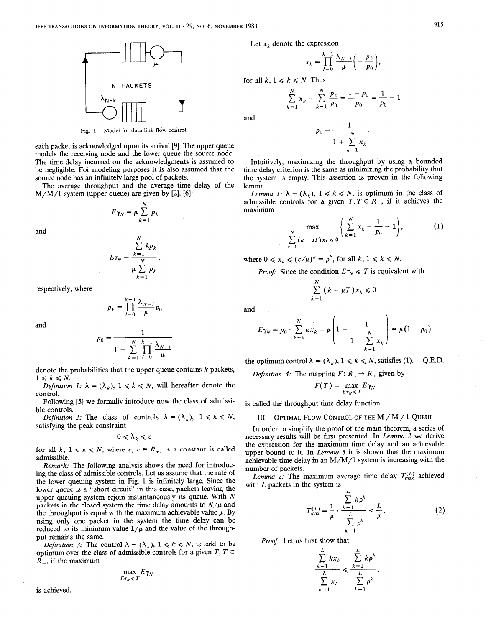

Fig. 1. Model for data link flow control.

each packet is acknowledged upon its arrival [9]. The upper queue models the receiving node and the lower queue the source node. The time delay incurred on the acknowledgments is assumed to be negligible. For modeling purposes it is also assumed that the source node has an infinitely large pool of packets.

The average throughput and the average time delay of the  $M/M/1$  system (upper queue) are given by [2], [6]:

> N  $E$   $\begin{matrix} K & K \\ K-1 \end{matrix}$

and

$$
E\tau_N = \frac{\sum_{k=1}^N k p_k}{\mu \sum_{k=1}^N p_k},
$$

respectively, where

$$
p_k = \prod_{l=0}^{k-1} \frac{\lambda_{N-l}}{\mu} p_0
$$

and

$$
p_0 = \frac{1}{1 + \sum_{k=1}^{N} \prod_{l=0}^{k-1} \frac{\lambda_{N-l}}{\mu}}
$$

denote the probabilities that the upper queue contains  $k$  packets,  $1 \leq k \leq N$ .

Definition 1:  $\lambda = (\lambda_k)$ ,  $1 \le k \le N$ , will hereafter denote the control.

Following [5] we formally introduce now the class of admissible controls.

*Definition 2:* The class of controls  $\lambda = (\lambda_k)$ ,  $1 \le k \le N$ , satisfying the peak constraint

$$
0\leqslant \lambda_k\leqslant c,
$$

for all k,  $1 \le k \le N$ , where c,  $c \in R_+$ , is a constant is called admissible.

Remark: The following analysis shows the need for introducing the class of admissible controls. Let us assume that the rate of the lower queuing system in Fig. 1 is infinitely large. Since the lower queue is a "short circuit" in this case, packets leaving the upper queuing system rejoin instantaneously its queue. With  $N$ packets in the closed system the time delay amounts to  $N/\mu$  and the throughput is equal with the maximum achievable value  $\mu$ . By using only one packet in the system the time delay can be reduced to its minimum value  $1/\mu$  and the value of the throughput remains the same.

Definition 3: The control  $\lambda = (\lambda_k)$ ,  $1 \le k \le N$ , is said to be optimum over the class of admissible controls for a given  $T, T \in$  $\overline{R}_{+}$ , if the maximum

$$
\max_{E\tau_N\leq T} E\gamma_N
$$

is achieved.

Let  $x_k$  denote the expression

$$
x_k = \prod_{l=0}^{k-1} \frac{\lambda_{N-l}}{\mu} \bigg( = \frac{p_k}{p_0} \bigg),
$$

for all  $k, 1 \leq k \leq N$ . Thus

$$
\sum_{k=1}^{N} x_k = \sum_{k=1}^{N} \frac{p_k}{p_0} = \frac{1-p_0}{p_0} = \frac{1}{p_0} - 1
$$

and

$$
p_0 = \frac{1}{1 + \sum_{k=1}^{N} x_k}.
$$

Intuitively, maximizing the throughput by using a bounded time delay criterion is the same as minimizing the probability that the system is empty. This assertion is proven in the following lemma.

Lemma 1:  $\lambda = (\lambda_k)$ ,  $1 \le k \le N$ , is optimum in the class of admissible controls for a given  $T, T \in \mathbb{R}_+$ , if it achieves the maximum

$$
\max_{\sum_{k=1}^{N} (k - \mu T) x_k \leq 0} \left\{ \sum_{k=1}^{N} x_k = \frac{1}{p_0} - 1 \right\},\tag{1}
$$

where  $0 \le x_k \le (c/\mu)^k = \rho^k$ , for all  $k, 1 \le k \le N$ .

*Proof:* Since the condition  $E_{T_N} \leq T$  is equivalent with

$$
\sum_{k=1}^N (k - \mu T) x_k \leq 0
$$

and

$$
E\gamma_N = p_0 \cdot \sum_{k=1}^N \mu x_k = \mu \left( 1 - \frac{1}{1 + \sum_{k=1}^N x_k} \right) = \mu (1 - p_0)
$$

the optimum control  $\lambda = (\lambda_k)$ ,  $1 \le k \le N$ , satisfies (1). Q.E.D.

*Definition 4:* The mapping  $F: \mathbb{R} \to \mathbb{R}$  given by

$$
F(T) = \max_{E\tau_N \leq T} E\gamma_N
$$

is called the throughput time delay function.

## III. OPTIMAL FLOW CONTROL OF THE M / M / 1 QUEUE

In order to simplify the proof of the main theorem, a series of necessary results will be first presented. In Lemma 2 we derive the expression for the maximum time delay and an achievable upper bound to it. In Lemma  $3$  it is shown that the maximum achievable time delay in an  $M/M/1$  system is increasing with the number of packets.

Lemma 2: The maximum average time delay  $T_{\text{max}}^{(L)}$  achieved with  $L$  packets in the system is

$$
T_{\max}^{(L)} = \frac{1}{\mu} \cdot \frac{\sum_{k=1}^{L} k \rho^k}{\sum_{k=1}^{L} \rho^k} < \frac{L}{\mu}.
$$
 (2)

Proof: Let us first show that

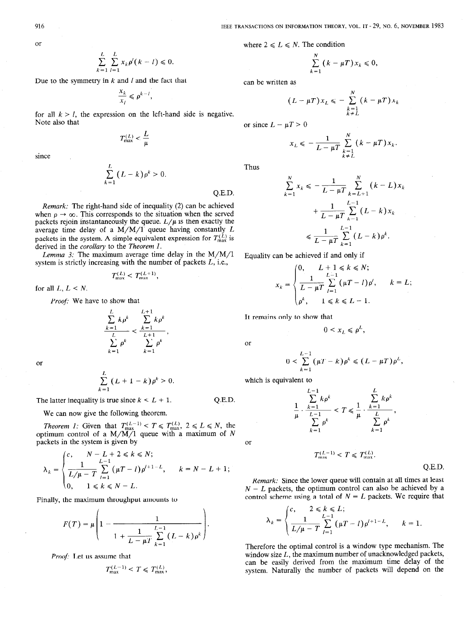where  $2 \le L \le N$ . The condition

$$
\sum_{k=1}^N (k - \mu T) x_k \leq 0,
$$

can be written as

$$
(L - \mu T)x_L \leqslant -\sum_{\substack{k=1\\k \neq L}}^N (k - \mu T)x_k
$$

 $\ddot{\phantom{a}}$ 

or since  $L - \mu T > 0$ 

$$
x_L \leqslant -\frac{1}{L - \mu T} \sum_{\substack{k=1\\k \neq L}}^N (k - \mu T) x_k.
$$

Thus

Q.E.D.

$$
\sum_{k=1}^{N} x_k \leq -\frac{1}{L - \mu T} \sum_{k=L+1}^{N} (k - L) x_k
$$

$$
+ \frac{1}{L - \mu T} \sum_{k=1}^{L-1} (L - k) x_k
$$

$$
\leq \frac{1}{L - \mu T} \sum_{k=1}^{L-1} (L - k) \rho^k.
$$

Equality can be achieved if and only if

$$
x_k = \begin{cases} 0, & L+1 \le k \le N; \\ \frac{1}{L-\mu T} \sum_{l=1}^{L-1} (\mu T - l) \rho', & k = L; \\ \rho^k, & 1 \le k \le L-1. \end{cases}
$$

It remains only to show that

$$
0<\sum_{k=1}^{L-1}(\mu T-k)\rho^k\leq (L-\mu T)\rho^L,
$$

 $0 \leq x_L \leq \rho^L$ ,

which is equivalent to

$$
\frac{1}{\mu} \cdot \frac{\sum\limits_{k=1}^{L-1} k \rho^k}{\sum\limits_{k=1}^{L-1} \rho^k} < T \leq \frac{1}{\mu} \cdot \frac{\sum\limits_{k=1}^{L} k \rho^k}{\sum\limits_{k=1}^{L} \rho^k},
$$

$$
\quad \text{or} \quad
$$

Λ

or

$$
T_{\max}^{(L-1)} < T \leq T_{\max}^{(L)}.
$$

Q.E.D.

Remark: Since the lower queue will contain at all times at least  $N - L$  packets, the optimum control can also be achieved by a control scheme using a total of  $N = L$  packets. We require that

$$
\lambda_k = \begin{cases} c, & 2 \leq k \leq L; \\ \frac{1}{L/\mu - T} \sum_{l=1}^{L-1} (\mu T - l) \rho^{l+1-L}, & k = 1. \end{cases}
$$

Therefore the optimal control is a window type mechanism. The window size  $L$ , the maximum number of unacknowledged packets, can be easily derived from the maximum time delay of the system. Naturally the number of packets will depend on the

since

Note also that

 $\sum_{k=1}^{L} (L - k) \rho^{k} > 0.$ 

Remark: The right-hand side of inequality (2) can be achieved when  $\rho \rightarrow \infty$ . This corresponds to the situation when the served packets rejoin instantaneously the queue.  $L/\mu$  is then exactly the average time delay of a  $M/M/1$  queue having constantly  $L$ packets in the system. A simple equivalent expression for  $T_{\text{max}}^{(L)}$  is derived in the corollary to the Theorem I.

*Lemma 3:* The maximum average time delay in the  $M/M/1$ system is strictly increasing with the number of packets  $L$ , i.e.,

$$
T_{\max}^{(L)} < T_{\max}^{(L+1)},
$$

for all  $L, L < N$ .

Proof: We have to show that

$$
\frac{\sum\limits_{k=1}^{L} k \rho^k}{\sum\limits_{k=1}^{L} \rho^k} < \frac{\sum\limits_{k=1}^{L+1} k \rho^k}{\sum\limits_{k=1}^{L+1} \rho^k},
$$

or

$$
\sum_{k=1}^L (L+1-k)\rho^k > 0.
$$

The latter inequality is true since  $k < L + 1$ . Q.E.D.

We can now give the following theorem.

Theorem 1: Given that  $T_{\text{max}}^{(L-1)} < T \leq T_{\text{max}}^{(L)}$ ,  $2 \leq L \leq N$ , the optimum control of a M/M/1 queue with a maximum of N packets in the system is given by

$$
\lambda_k = \begin{cases} c, & N - L + 2 \le k \le N; \\ \frac{1}{L/\mu - T} \sum_{l=1}^{L-1} (\mu T - l) \rho^{l+1-L}, & k = N - L + 1; \\ 0, & 1 \le k \le N - L. \end{cases}
$$

Finally, the maximum throughput amounts to

 $\prime$ 

$$
F(T) = \mu \left( 1 - \frac{1}{1 + \frac{1}{L - \mu T} \sum_{k=1}^{L-1} (L - k) \rho^k} \right).
$$

Proof: Let us assume that

$$
T_{\max}^{(L-1)} < T \leq T_{\max}^{(L)},
$$

 $\frac{x_k}{x_l} \leqslant \rho^{k-l}$ for all  $k > l$ , the expression on the left-hand side is negative.

 $\sum_{k=1}^{L} \sum_{l=1}^{L} x_k \rho'(k-l) \leq 0.$ 

 $T_{\max}^{(L)} < \frac{L}{\mu}$ 

Due to the symmetry in  $k$  and  $l$  and the fact that

or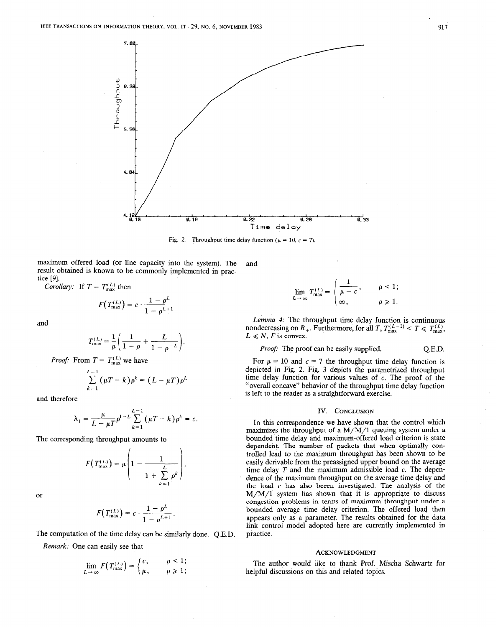

Fig. 2. Throughput time delay function ( $\mu = 10$ ,  $c = 7$ ).

maximum offered load (or line capacity into the system). The result obtained is known to be commonly implemented in practice [9]. and

Corollary: If  $T = T_{\text{max}}^{(L)}$  then

$$
F(T_{\max}^{(L)})=c\cdot\frac{1-\rho^L}{1-\rho^{L+1}}
$$

and

$$
T_{\max}^{(L)} = \frac{1}{\mu} \left( \frac{1}{1 - \rho} + \frac{L}{1 - \rho^{-L}} \right).
$$

*Proof:* From  $T = T_{\text{max}}^{(L)}$  we have

$$
\sum_{k=1}^{L-1} (\mu T - k) \rho^k = (L - \mu T) \rho^L
$$

and therefore

$$
\lambda_1 = \frac{\mu}{L - \mu T} \rho^{1-L} \sum_{k=1}^{L-1} (\mu T - k) \rho^k = c.
$$

The corresponding throughput amounts to

$$
F(T_{\max}^{(L)}) = \mu \left(1 - \frac{1}{1 + \sum_{k=1}^{L} \rho^k}\right),
$$

or

$$
F(T_{\max}^{(L)})=c\cdot\frac{1-\rho^L}{1-\rho^{L+1}}.
$$

The computation of the time delay can be similarly done. Q.E.D.

Remark: One can easily see that

$$
\lim_{L\to\infty} F(T_{\max}^{(L)}) = \begin{cases} c, & \rho < 1; \\ \mu, & \rho \geq 1; \end{cases}
$$

$$
\lim_{L \to \infty} T_{\max}^{(L)} = \begin{cases} \frac{1}{\mu - c}, & \rho < 1; \\ \infty, & \rho \ge 1. \end{cases}
$$

Lemma 4: The throughput time delay function is continuous nondecreasing on  $R_+$ . Furthermore, for all  $T$ ,  $T_{\text{max}}^{(L-1)} < T \le T_{\text{max}}^{(L)}$ ,  $L \le N$ , F is convex.

## *Proof:* The proof can be easily supplied. Q.E.D.

For  $\mu = 10$  and  $c = 7$  the throughput time delay function is depicted in Fig. 2. Fig. 3 depicts the parametrized throughput time delay function for various values of  $c$ . The proof of the "overall concave" behavior of the throughput time delay function is left to the reader as a straightforward exercise.

#### IV. CONCLUSION

In this correspondence we have shown that the control which maximizes the throughput of a  $M/M/1$  queuing system under a bounded time delay and maximum-offered load criterion is state dependent. The number of packets that when optimally controlled lead to the maximum throughput has been shown to be easily derivable from the preassigned upper bound on the average time delay  $T$  and the maximum admissible load  $c$ . The dependence of the maximum throughput on the average time delay and the load c has also beeen investigated. The analysis of the  $M/M/1$  system has shown that it is appropriate to discuss congestion problems in terms of maximum throughput under a bounded average time delay criterion. The offered load then appears only as a parameter. The results obtained for the data link control model adopted here are currently implemented in practice.

#### **ACKNOWLEDGMENT**

The author would like to thank Prof. Mischa Schwartz for helpful discussions on this and related topics.